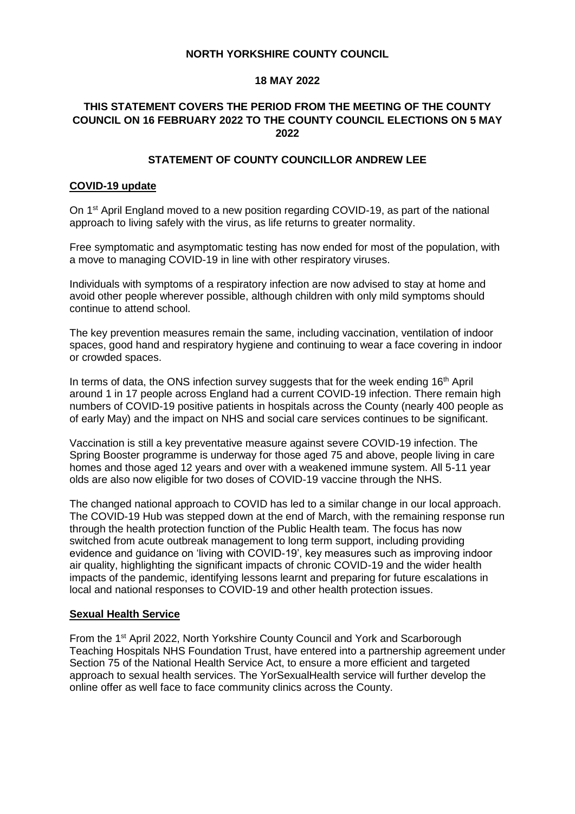## **NORTH YORKSHIRE COUNTY COUNCIL**

#### **18 MAY 2022**

## **THIS STATEMENT COVERS THE PERIOD FROM THE MEETING OF THE COUNTY COUNCIL ON 16 FEBRUARY 2022 TO THE COUNTY COUNCIL ELECTIONS ON 5 MAY 2022**

## **STATEMENT OF COUNTY COUNCILLOR ANDREW LEE**

#### **COVID-19 update**

On 1<sup>st</sup> April England moved to a new position regarding COVID-19, as part of the national approach to living safely with the virus, as life returns to greater normality.

Free symptomatic and asymptomatic testing has now ended for most of the population, with a move to managing COVID-19 in line with other respiratory viruses.

Individuals with symptoms of a respiratory infection are now advised to stay at home and avoid other people wherever possible, although children with only mild symptoms should continue to attend school.

The key prevention measures remain the same, including vaccination, ventilation of indoor spaces, good hand and respiratory hygiene and continuing to wear a face covering in indoor or crowded spaces.

In terms of data, the ONS infection survey suggests that for the week ending  $16<sup>th</sup>$  April around 1 in 17 people across England had a current COVID-19 infection. There remain high numbers of COVID-19 positive patients in hospitals across the County (nearly 400 people as of early May) and the impact on NHS and social care services continues to be significant.

Vaccination is still a key preventative measure against severe COVID-19 infection. The Spring Booster programme is underway for those aged 75 and above, people living in care homes and those aged 12 years and over with a weakened immune system. All 5-11 year olds are also now eligible for two doses of COVID-19 vaccine through the NHS.

The changed national approach to COVID has led to a similar change in our local approach. The COVID-19 Hub was stepped down at the end of March, with the remaining response run through the health protection function of the Public Health team. The focus has now switched from acute outbreak management to long term support, including providing evidence and guidance on 'living with COVID-19', key measures such as improving indoor air quality, highlighting the significant impacts of chronic COVID-19 and the wider health impacts of the pandemic, identifying lessons learnt and preparing for future escalations in local and national responses to COVID-19 and other health protection issues.

## **Sexual Health Service**

From the 1<sup>st</sup> April 2022, North Yorkshire County Council and York and Scarborough Teaching Hospitals NHS Foundation Trust, have entered into a partnership agreement under Section 75 of the National Health Service Act, to ensure a more efficient and targeted approach to sexual health services. The YorSexualHealth service will further develop the online offer as well face to face community clinics across the County.